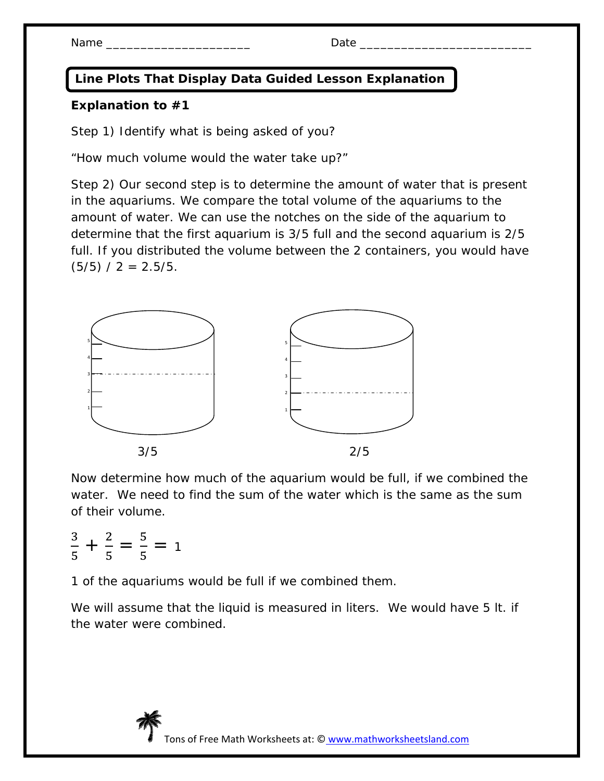## **Line Plots That Display Data Guided Lesson Explanation**

## **Explanation to #1**

Step 1) Identify what is being asked of you?

"How much volume would the water take up?"

Step 2) Our second step is to determine the amount of water that is present in the aquariums. We compare the total volume of the aquariums to the amount of water. We can use the notches on the side of the aquarium to determine that the first aquarium is 3/5 full and the second aquarium is 2/5 full. If you distributed the volume between the 2 containers, you would have  $(5/5) / 2 = 2.5/5$ .



Now determine how much of the aquarium would be full, if we combined the water. We need to find the sum of the water which is the same as the sum of their volume.

ଷ ହ  $+\frac{2}{5}$ ହ  $=$   $\frac{5}{5}$ ହ  $= 1$ 

1 of the aquariums would be full if we combined them.

We will assume that the liquid is measured in liters. We would have 5 lt. if the water were combined.